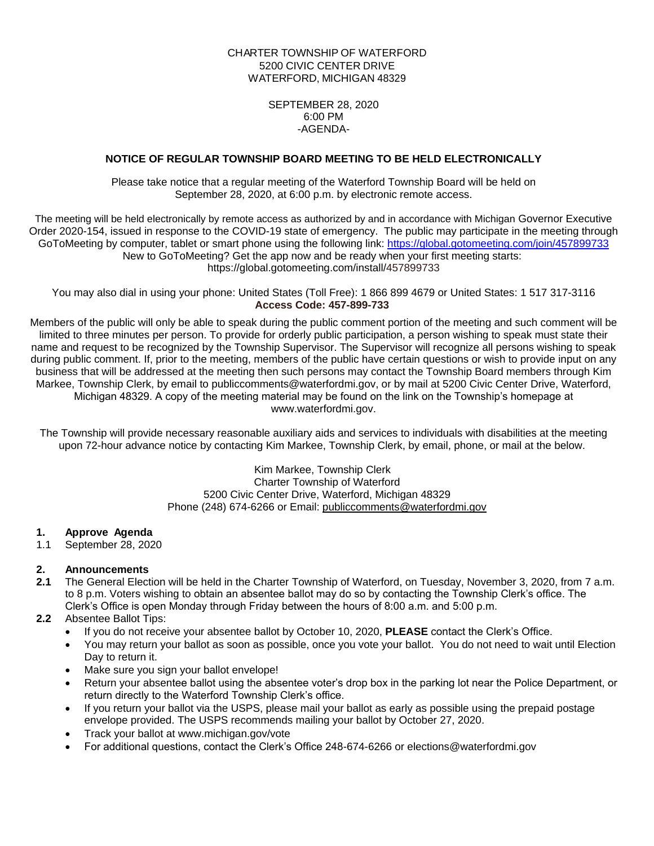# CHARTER TOWNSHIP OF WATERFORD 5200 CIVIC CENTER DRIVE WATERFORD, MICHIGAN 48329

## SEPTEMBER 28, 2020 6:00 PM -AGENDA-

## **NOTICE OF REGULAR TOWNSHIP BOARD MEETING TO BE HELD ELECTRONICALLY**

Please take notice that a regular meeting of the Waterford Township Board will be held on September 28, 2020, at 6:00 p.m. by electronic remote access.

The meeting will be held electronically by remote access as authorized by and in accordance with Michigan Governor Executive Order 2020-154, issued in response to the COVID-19 state of emergency. The public may participate in the meeting through GoToMeeting by computer, tablet or smart phone using the following link: <https://global.gotomeeting.com/join/457899733> New to GoToMeeting? Get the app now and be ready when your first meeting starts: https://global.gotomeeting.com/install/457899733

You may also dial in using your phone: United States (Toll Free): 1 866 899 4679 or United States: 1 517 317-3116 **Access Code: 457-899-733**

Members of the public will only be able to speak during the public comment portion of the meeting and such comment will be limited to three minutes per person. To provide for orderly public participation, a person wishing to speak must state their name and request to be recognized by the Township Supervisor. The Supervisor will recognize all persons wishing to speak during public comment. If, prior to the meeting, members of the public have certain questions or wish to provide input on any business that will be addressed at the meeting then such persons may contact the Township Board members through Kim Markee, Township Clerk, by email to publiccomments@waterfordmi.gov, or by mail at 5200 Civic Center Drive, Waterford, Michigan 48329. A copy of the meeting material may be found on the link on the Township's homepage at www.waterfordmi.gov.

The Township will provide necessary reasonable auxiliary aids and services to individuals with disabilities at the meeting upon 72-hour advance notice by contacting Kim Markee, Township Clerk, by email, phone, or mail at the below.

> Kim Markee, Township Clerk Charter Township of Waterford 5200 Civic Center Drive, Waterford, Michigan 48329 Phone (248) 674-6266 or Email: [publiccomments@waterfordmi.gov](mailto:publiccomments@waterfordmi.gov)

## **1. Approve Agenda**

1.1 September 28, 2020

## **2. Announcements**

**2.1** The General Election will be held in the Charter Township of Waterford, on Tuesday, November 3, 2020, from 7 a.m. to 8 p.m. Voters wishing to obtain an absentee ballot may do so by contacting the Township Clerk's office. The Clerk's Office is open Monday through Friday between the hours of 8:00 a.m. and 5:00 p.m.

## **2.2** Absentee Ballot Tips:

- If you do not receive your absentee ballot by October 10, 2020, **PLEASE** contact the Clerk's Office.
- You may return your ballot as soon as possible, once you vote your ballot. You do not need to wait until Election Day to return it.
- Make sure you sign your ballot envelope!
- Return your absentee ballot using the absentee voter's drop box in the parking lot near the Police Department, or return directly to the Waterford Township Clerk's office.
- If you return your ballot via the USPS, please mail your ballot as early as possible using the prepaid postage envelope provided. The USPS recommends mailing your ballot by October 27, 2020.
- Track your ballot at www.michigan.gov/vote
- For additional questions, contact the Clerk's Office 248-674-6266 or [elections@waterfordmi.gov](mailto:elections@waterfordmi.gov)